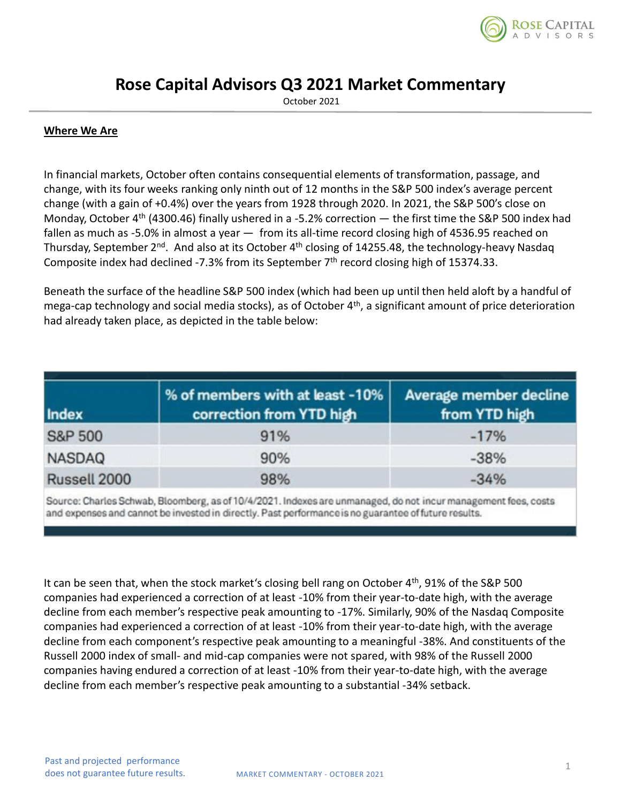

### **Rose Capital Advisors Q3 2021 Market Commentary**

October 2021

#### **Where We Are**

In financial markets, October often contains consequential elements of transformation, passage, and change, with its four weeks ranking only ninth out of 12 months in the S&P 500 index's average percent change (with a gain of +0.4%) over the years from 1928 through 2020. In 2021, the S&P 500's close on Monday, October 4th (4300.46) finally ushered in a -5.2% correction — the first time the S&P 500 index had fallen as much as -5.0% in almost a year  $-$  from its all-time record closing high of 4536.95 reached on Thursday, September 2<sup>nd</sup>. And also at its October 4<sup>th</sup> closing of 14255.48, the technology-heavy Nasdaq Composite index had declined -7.3% from its September 7<sup>th</sup> record closing high of 15374.33.

Beneath the surface of the headline S&P 500 index (which had been up until then held aloft by a handful of mega-cap technology and social media stocks), as of October  $4<sup>th</sup>$ , a significant amount of price deterioration had already taken place, as depicted in the table below:

| Index              | % of members with at least -10%<br>correction from YTD high | Average member decline<br>from YTD high |
|--------------------|-------------------------------------------------------------|-----------------------------------------|
| <b>S&amp;P 500</b> | 91%                                                         | $-17%$                                  |
| <b>NASDAQ</b>      | 90%                                                         | $-38%$                                  |
| Russell 2000       | 98%                                                         | $-34%$                                  |

Source: Charles Schwab, Bloomberg, as of 10/4/2021. Indexes are unmanaged, do not incur management fees, costs and expenses and cannot be invested in directly. Past performance is no guarantee of future results.

It can be seen that, when the stock market's closing bell rang on October 4th, 91% of the S&P 500 companies had experienced a correction of at least -10% from their year-to-date high, with the average decline from each member's respective peak amounting to -17%. Similarly, 90% of the Nasdaq Composite companies had experienced a correction of at least -10% from their year-to-date high, with the average decline from each component's respective peak amounting to a meaningful -38%. And constituents of the Russell 2000 index of small- and mid-cap companies were not spared, with 98% of the Russell 2000 companies having endured a correction of at least -10% from their year-to-date high, with the average decline from each member's respective peak amounting to a substantial -34% setback.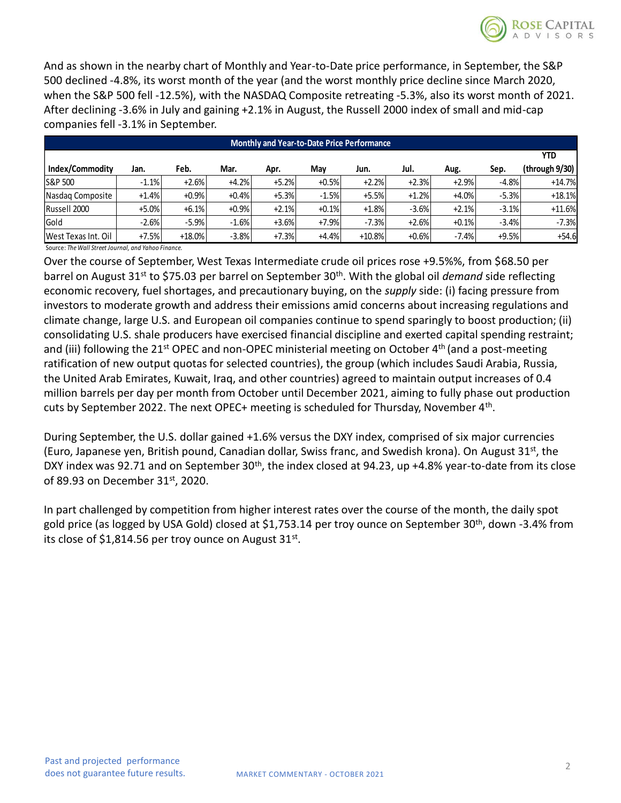

And as shown in the nearby chart of Monthly and Year-to-Date price performance, in September, the S&P 500 declined -4.8%, its worst month of the year (and the worst monthly price decline since March 2020, when the S&P 500 fell -12.5%), with the NASDAQ Composite retreating -5.3%, also its worst month of 2021. After declining -3.6% in July and gaining +2.1% in August, the Russell 2000 index of small and mid-cap companies fell -3.1% in September.

| <b>Monthly and Year-to-Date Price Performance</b> |         |          |         |         |         |          |         |         |         |                |
|---------------------------------------------------|---------|----------|---------|---------|---------|----------|---------|---------|---------|----------------|
|                                                   |         |          |         |         |         |          |         |         |         |                |
| Index/Commodity                                   | Jan.    | Feb.     | Mar.    | Apr.    | May     | Jun.     | Jul.    | Aug.    | Sep.    | (through 9/30) |
| <b>S&amp;P 500</b>                                | $-1.1%$ | $+2.6%$  | $+4.2%$ | $+5.2%$ | $+0.5%$ | $+2.2%$  | $+2.3%$ | $+2.9%$ | $-4.8%$ | $+14.7%$       |
| Nasdag Composite                                  | $+1.4%$ | $+0.9%$  | $+0.4%$ | $+5.3%$ | $-1.5%$ | $+5.5%$  | $+1.2%$ | $+4.0%$ | $-5.3%$ | $+18.1%$       |
| Russell 2000                                      | $+5.0%$ | $+6.1%$  | $+0.9%$ | $+2.1%$ | $+0.1%$ | $+1.8%$  | $-3.6%$ | $+2.1%$ | $-3.1%$ | $+11.6%$       |
| Gold                                              | $-2.6%$ | $-5.9%$  | $-1.6%$ | $+3.6%$ | $+7.9%$ | $-7.3%$  | $+2.6%$ | $+0.1%$ | $-3.4%$ | $-7.3%$        |
| West Texas Int. Oil                               | $+7.5%$ | $+18.0%$ | $-3.8%$ | $+7.3%$ | $+4.4%$ | $+10.8%$ | $+0.6%$ | $-7.4%$ | $+9.5%$ | $+54.6$        |

Source: *The Wall Street Journal, and Yahoo Finance.*

Over the course of September, West Texas Intermediate crude oil prices rose +9.5%%, from \$68.50 per barrel on August 31<sup>st</sup> to \$75.03 per barrel on September 30<sup>th</sup>. With the global oil *demand* side reflecting economic recovery, fuel shortages, and precautionary buying, on the *supply* side: (i) facing pressure from investors to moderate growth and address their emissions amid concerns about increasing regulations and climate change, large U.S. and European oil companies continue to spend sparingly to boost production; (ii) consolidating U.S. shale producers have exercised financial discipline and exerted capital spending restraint; and (iii) following the 21<sup>st</sup> OPEC and non-OPEC ministerial meeting on October 4<sup>th</sup> (and a post-meeting ratification of new output quotas for selected countries), the group (which includes Saudi Arabia, Russia, the United Arab Emirates, Kuwait, Iraq, and other countries) agreed to maintain output increases of 0.4 million barrels per day per month from October until December 2021, aiming to fully phase out production cuts by September 2022. The next OPEC+ meeting is scheduled for Thursday, November 4<sup>th</sup>.

During September, the U.S. dollar gained +1.6% versus the DXY index, comprised of six major currencies (Euro, Japanese yen, British pound, Canadian dollar, Swiss franc, and Swedish krona). On August 31<sup>st</sup>, the DXY index was 92.71 and on September 30<sup>th</sup>, the index closed at 94.23, up +4.8% year-to-date from its close of 89.93 on December 31st, 2020.

In part challenged by competition from higher interest rates over the course of the month, the daily spot gold price (as logged by USA Gold) closed at \$1,753.14 per troy ounce on September 30<sup>th</sup>, down -3.4% from its close of \$1,814.56 per troy ounce on August 31 $^{\rm st}$ .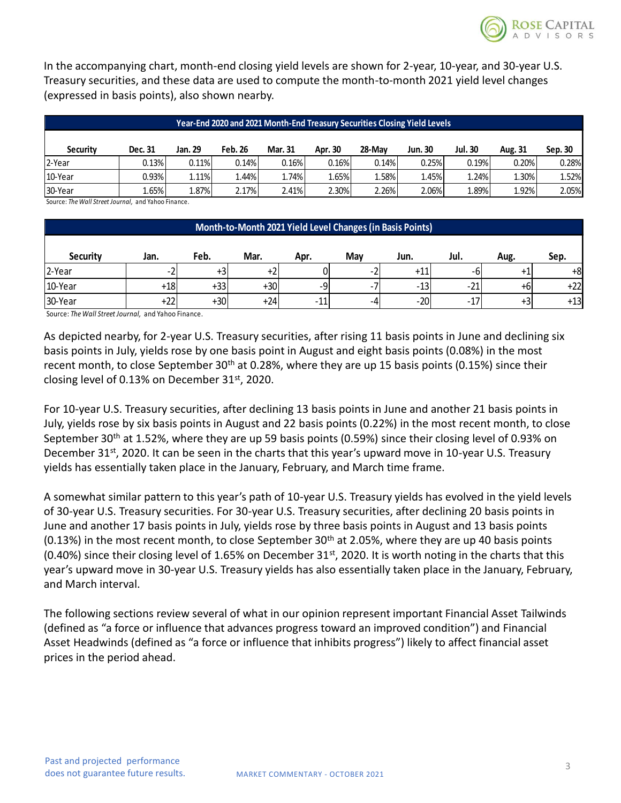

In the accompanying chart, month-end closing yield levels are shown for 2-year, 10-year, and 30-year U.S. Treasury securities, and these data are used to compute the month-to-month 2021 yield level changes (expressed in basis points), also shown nearby.

| Year-End 2020 and 2021 Month-End Treasury Securities Closing Yield Levels |         |         |                |                |         |        |                |                |         |         |
|---------------------------------------------------------------------------|---------|---------|----------------|----------------|---------|--------|----------------|----------------|---------|---------|
| <b>Security</b>                                                           | Dec. 31 | Jan. 29 | <b>Feb. 26</b> | <b>Mar. 31</b> | Apr. 30 | 28-May | <b>Jun. 30</b> | <b>Jul. 30</b> | Aug. 31 | Sep. 30 |
|                                                                           |         |         |                |                |         |        |                |                |         |         |
| 2-Year                                                                    | 0.13%   | 0.11%   | 0.14%          | 0.16%          | 0.16%   | 0.14%  | 0.25%          | 0.19%          | 0.20%   | 0.28%   |
| 10-Year                                                                   | 0.93%   | 1.11%   | 1.44%          | 1.74%          | 1.65%   | 1.58%  | 1.45%          | 1.24%          | 1.30%   | 1.52%   |
| 30-Year                                                                   | 1.65%   | 1.87%   | 2.17%          | 2.41%          | 2.30%   | 2.26%  | 2.06%          | 1.89%          | 1.92%   | 2.05%   |

Source: *The Wall Street Journal,* and Yahoo Finance.

| Month-to-Month 2021 Yield Level Changes (in Basis Points) |       |       |       |       |     |       |          |      |       |
|-----------------------------------------------------------|-------|-------|-------|-------|-----|-------|----------|------|-------|
| <b>Security</b>                                           | Jan.  | Feb.  | Mar.  | Apr.  | May | Jun.  | Jul.     | Aug. | Sep.  |
| 2-Year                                                    | - 2   | +3    | $+2$  |       | -2  | $+11$ | -6       |      | $+8$  |
| 10-Year                                                   | $+18$ | $+33$ | $+30$ | -9    | -7  | -131  | -21      | +6   | $+22$ |
| 30-Year                                                   | +22   | $+30$ | $+24$ | $-11$ | -4  | $-20$ | $-1^{-}$ | +3   | $+13$ |
| Source: The Wall Street Journal, and Yahoo Finance.       |       |       |       |       |     |       |          |      |       |

As depicted nearby, for 2-year U.S. Treasury securities, after rising 11 basis points in June and declining six basis points in July, yields rose by one basis point in August and eight basis points (0.08%) in the most recent month, to close September 30<sup>th</sup> at 0.28%, where they are up 15 basis points (0.15%) since their closing level of 0.13% on December  $31<sup>st</sup>$ , 2020.

For 10-year U.S. Treasury securities, after declining 13 basis points in June and another 21 basis points in July, yields rose by six basis points in August and 22 basis points (0.22%) in the most recent month, to close September 30<sup>th</sup> at 1.52%, where they are up 59 basis points (0.59%) since their closing level of 0.93% on December 31<sup>st</sup>, 2020. It can be seen in the charts that this year's upward move in 10-year U.S. Treasury yields has essentially taken place in the January, February, and March time frame.

A somewhat similar pattern to this year's path of 10-year U.S. Treasury yields has evolved in the yield levels of 30-year U.S. Treasury securities. For 30-year U.S. Treasury securities, after declining 20 basis points in June and another 17 basis points in July, yields rose by three basis points in August and 13 basis points (0.13%) in the most recent month, to close September 30<sup>th</sup> at 2.05%, where they are up 40 basis points (0.40%) since their closing level of 1.65% on December 31 $st$ , 2020. It is worth noting in the charts that this year's upward move in 30-year U.S. Treasury yields has also essentially taken place in the January, February, and March interval.

The following sections review several of what in our opinion represent important Financial Asset Tailwinds (defined as "a force or influence that advances progress toward an improved condition") and Financial Asset Headwinds (defined as "a force or influence that inhibits progress") likely to affect financial asset prices in the period ahead.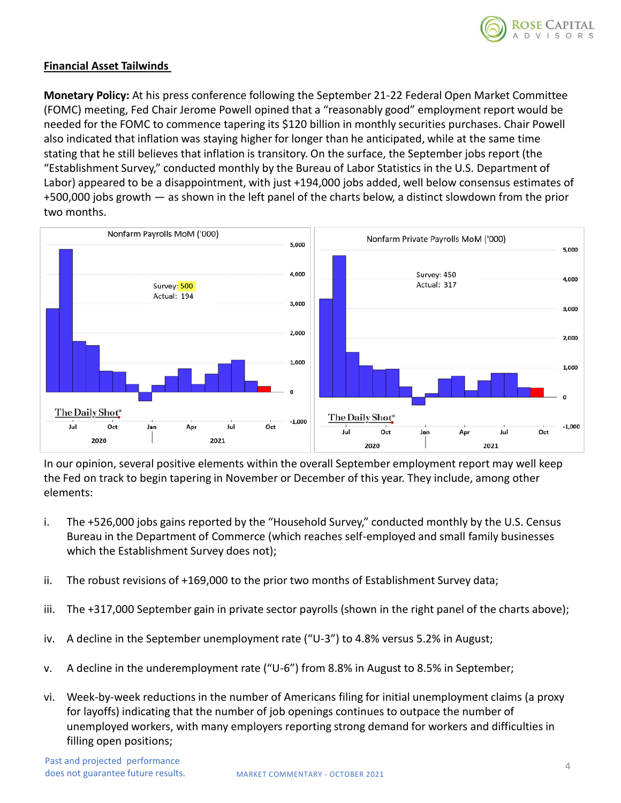

#### **Financial Asset Tailwinds**

**Monetary Policy:** At his press conference following the September 21-22 Federal Open Market Committee (FOMC) meeting, Fed Chair Jerome Powell opined that a "reasonably good" employment report would be needed for the FOMC to commence tapering its \$120 billion in monthly securities purchases. Chair Powell also indicated that inflation was staying higher for longer than he anticipated, while at the same time stating that he still believes that inflation is transitory. On the surface, the September jobs report (the "Establishment Survey," conducted monthly by the Bureau of Labor Statistics in the U.S. Department of Labor) appeared to be a disappointment, with just +194,000 jobs added, well below consensus estimates of +500,000 jobs growth — as shown in the left panel of the charts below, a distinct slowdown from the prior two months.



In our opinion, several positive elements within the overall September employment report may well keep the Fed on track to begin tapering in November or December of this year. They include, among other elements:

- i. The +526,000 jobs gains reported by the "Household Survey," conducted monthly by the U.S. Census Bureau in the Department of Commerce (which reaches self-employed and small family businesses which the Establishment Survey does not);
- ii. The robust revisions of +169,000 to the prior two months of Establishment Survey data;
- iii. The +317,000 September gain in private sector payrolls (shown in the right panel of the charts above);
- iv. A decline in the September unemployment rate ("U-3") to 4.8% versus 5.2% in August;
- v. A decline in the underemployment rate ("U-6") from 8.8% in August to 8.5% in September;
- vi. Week-by-week reductions in the number of Americans filing for initial unemployment claims (a proxy for layoffs) indicating that the number of job openings continues to outpace the number of unemployed workers, with many employers reporting strong demand for workers and difficulties in filling open positions;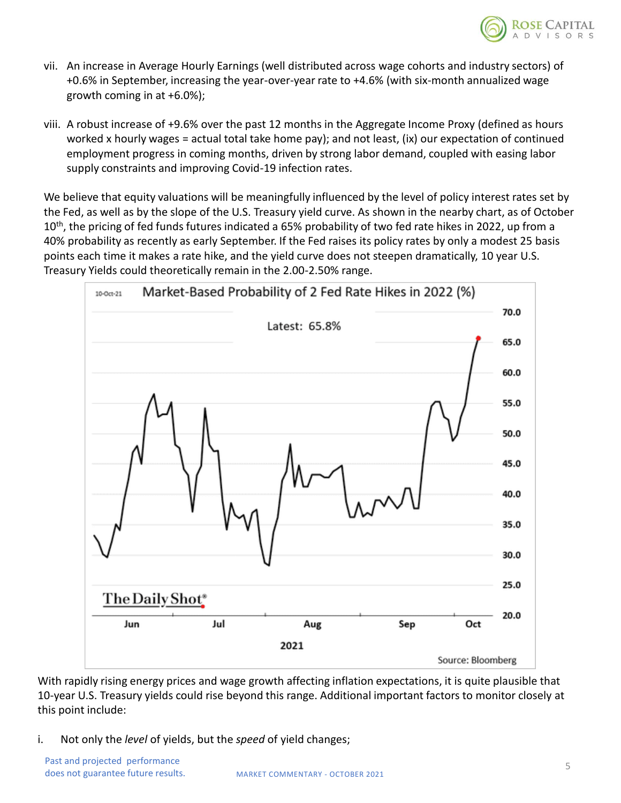

- vii. An increase in Average Hourly Earnings (well distributed across wage cohorts and industry sectors) of +0.6% in September, increasing the year-over-year rate to +4.6% (with six-month annualized wage growth coming in at +6.0%);
- viii. A robust increase of +9.6% over the past 12 months in the Aggregate Income Proxy (defined as hours worked x hourly wages = actual total take home pay); and not least, (ix) our expectation of continued employment progress in coming months, driven by strong labor demand, coupled with easing labor supply constraints and improving Covid-19 infection rates.

We believe that equity valuations will be meaningfully influenced by the level of policy interest rates set by the Fed, as well as by the slope of the U.S. Treasury yield curve. As shown in the nearby chart, as of October 10<sup>th</sup>, the pricing of fed funds futures indicated a 65% probability of two fed rate hikes in 2022, up from a 40% probability as recently as early September. If the Fed raises its policy rates by only a modest 25 basis points each time it makes a rate hike, and the yield curve does not steepen dramatically, 10 year U.S. Treasury Yields could theoretically remain in the 2.00-2.50% range.



With rapidly rising energy prices and wage growth affecting inflation expectations, it is quite plausible that 10-year U.S. Treasury yields could rise beyond this range. Additional important factors to monitor closely at this point include:

i. Not only the *level* of yields, but the *speed* of yield changes;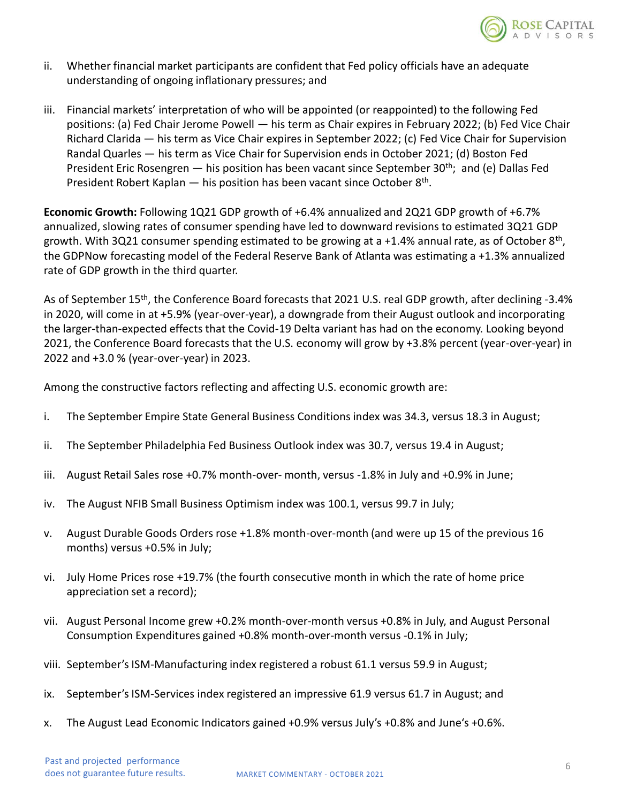

- ii. Whether financial market participants are confident that Fed policy officials have an adequate understanding of ongoing inflationary pressures; and
- iii. Financial markets' interpretation of who will be appointed (or reappointed) to the following Fed positions: (a) Fed Chair Jerome Powell — his term as Chair expires in February 2022; (b) Fed Vice Chair Richard Clarida — his term as Vice Chair expires in September 2022; (c) Fed Vice Chair for Supervision Randal Quarles — his term as Vice Chair for Supervision ends in October 2021; (d) Boston Fed President Eric Rosengren — his position has been vacant since September 30<sup>th</sup>; and (e) Dallas Fed President Robert Kaplan - his position has been vacant since October 8<sup>th</sup>.

**Economic Growth:** Following 1Q21 GDP growth of +6.4% annualized and 2Q21 GDP growth of +6.7% annualized, slowing rates of consumer spending have led to downward revisions to estimated 3Q21 GDP growth. With 3Q21 consumer spending estimated to be growing at a +1.4% annual rate, as of October 8<sup>th</sup>, the GDPNow forecasting model of the Federal Reserve Bank of Atlanta was estimating a +1.3% annualized rate of GDP growth in the third quarter.

As of September 15<sup>th</sup>, the Conference Board forecasts that 2021 U.S. real GDP growth, after declining -3.4% in 2020, will come in at +5.9% (year-over-year), a downgrade from their August outlook and incorporating the larger-than-expected effects that the Covid-19 Delta variant has had on the economy. Looking beyond 2021, the Conference Board forecasts that the U.S. economy will grow by +3.8% percent (year-over-year) in 2022 and +3.0 % (year-over-year) in 2023.

Among the constructive factors reflecting and affecting U.S. economic growth are:

- i. The September Empire State General Business Conditions index was 34.3, versus 18.3 in August;
- ii. The September Philadelphia Fed Business Outlook index was 30.7, versus 19.4 in August;
- iii. August Retail Sales rose +0.7% month-over- month, versus -1.8% in July and +0.9% in June;
- iv. The August NFIB Small Business Optimism index was 100.1, versus 99.7 in July;
- v. August Durable Goods Orders rose +1.8% month-over-month (and were up 15 of the previous 16 months) versus +0.5% in July;
- vi. July Home Prices rose +19.7% (the fourth consecutive month in which the rate of home price appreciation set a record);
- vii. August Personal Income grew +0.2% month-over-month versus +0.8% in July, and August Personal Consumption Expenditures gained +0.8% month-over-month versus -0.1% in July;
- viii. September's ISM-Manufacturing index registered a robust 61.1 versus 59.9 in August;
- ix. September's ISM-Services index registered an impressive 61.9 versus 61.7 in August; and
- x. The August Lead Economic Indicators gained +0.9% versus July's +0.8% and June's +0.6%.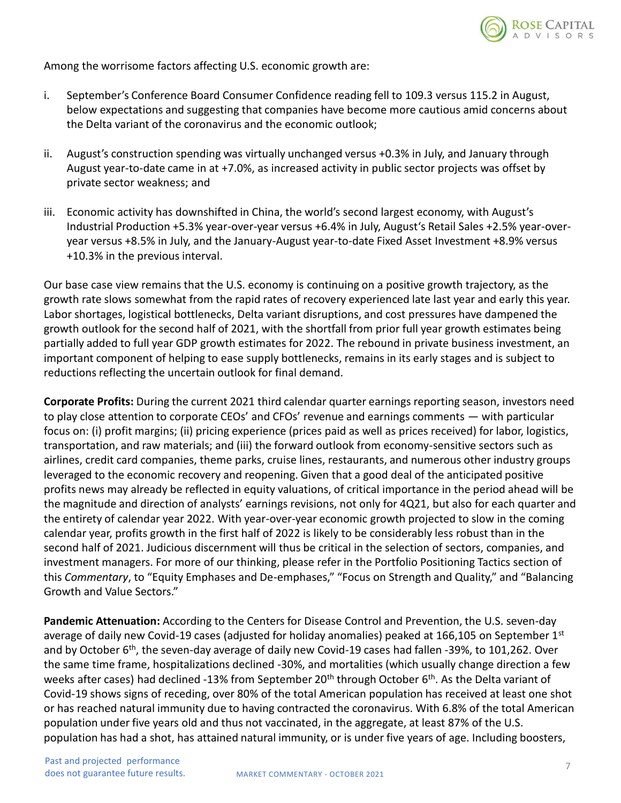

Among the worrisome factors affecting U.S. economic growth are:

- i. September's Conference Board Consumer Confidence reading fell to 109.3 versus 115.2 in August, below expectations and suggesting that companies have become more cautious amid concerns about the Delta variant of the coronavirus and the economic outlook;
- ii. August's construction spending was virtually unchanged versus +0.3% in July, and January through August year-to-date came in at +7.0%, as increased activity in public sector projects was offset by private sector weakness; and
- iii. Economic activity has downshifted in China, the world's second largest economy, with August's Industrial Production +5.3% year-over-year versus +6.4% in July, August's Retail Sales +2.5% year-overyear versus +8.5% in July, and the January-August year-to-date Fixed Asset Investment +8.9% versus +10.3% in the previous interval.

Our base case view remains that the U.S. economy is continuing on a positive growth trajectory, as the growth rate slows somewhat from the rapid rates of recovery experienced late last year and early this year. Labor shortages, logistical bottlenecks, Delta variant disruptions, and cost pressures have dampened the growth outlook for the second half of 2021, with the shortfall from prior full year growth estimates being partially added to full year GDP growth estimates for 2022. The rebound in private business investment, an important component of helping to ease supply bottlenecks, remains in its early stages and is subject to reductions reflecting the uncertain outlook for final demand.

**Corporate Profits:** During the current 2021 third calendar quarter earnings reporting season, investors need to play close attention to corporate CEOs' and CFOs' revenue and earnings comments — with particular focus on: (i) profit margins; (ii) pricing experience (prices paid as well as prices received) for labor, logistics, transportation, and raw materials; and (iii) the forward outlook from economy-sensitive sectors such as airlines, credit card companies, theme parks, cruise lines, restaurants, and numerous other industry groups leveraged to the economic recovery and reopening. Given that a good deal of the anticipated positive profits news may already be reflected in equity valuations, of critical importance in the period ahead will be the magnitude and direction of analysts' earnings revisions, not only for 4Q21, but also for each quarter and the entirety of calendar year 2022. With year-over-year economic growth projected to slow in the coming calendar year, profits growth in the first half of 2022 is likely to be considerably less robust than in the second half of 2021. Judicious discernment will thus be critical in the selection of sectors, companies, and investment managers. For more of our thinking, please refer in the Portfolio Positioning Tactics section of this *Commentary*, to "Equity Emphases and De-emphases," "Focus on Strength and Quality," and "Balancing Growth and Value Sectors."

**Pandemic Attenuation:** According to the Centers for Disease Control and Prevention, the U.S. seven-day average of daily new Covid-19 cases (adjusted for holiday anomalies) peaked at 166,105 on September 1st and by October 6<sup>th</sup>, the seven-day average of daily new Covid-19 cases had fallen -39%, to 101,262. Over the same time frame, hospitalizations declined -30%, and mortalities (which usually change direction a few weeks after cases) had declined -13% from September 20<sup>th</sup> through October 6<sup>th</sup>. As the Delta variant of Covid-19 shows signs of receding, over 80% of the total American population has received at least one shot or has reached natural immunity due to having contracted the coronavirus. With 6.8% of the total American population under five years old and thus not vaccinated, in the aggregate, at least 87% of the U.S. population has had a shot, has attained natural immunity, or is under five years of age. Including boosters,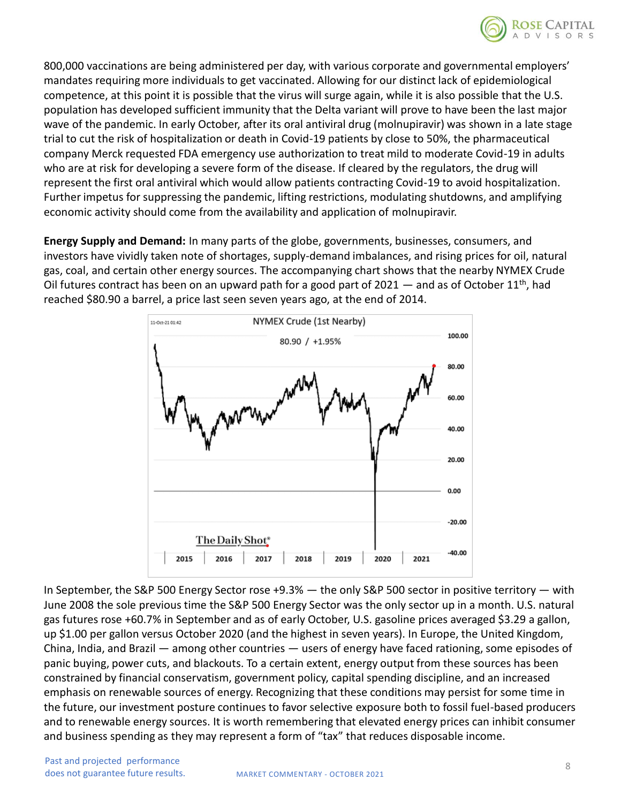

800,000 vaccinations are being administered per day, with various corporate and governmental employers' mandates requiring more individuals to get vaccinated. Allowing for our distinct lack of epidemiological competence, at this point it is possible that the virus will surge again, while it is also possible that the U.S. population has developed sufficient immunity that the Delta variant will prove to have been the last major wave of the pandemic. In early October, after its oral antiviral drug (molnupiravir) was shown in a late stage trial to cut the risk of hospitalization or death in Covid-19 patients by close to 50%, the pharmaceutical company Merck requested FDA emergency use authorization to treat mild to moderate Covid-19 in adults who are at risk for developing a severe form of the disease. If cleared by the regulators, the drug will represent the first oral antiviral which would allow patients contracting Covid-19 to avoid hospitalization. Further impetus for suppressing the pandemic, lifting restrictions, modulating shutdowns, and amplifying economic activity should come from the availability and application of molnupiravir.

**Energy Supply and Demand:** In many parts of the globe, governments, businesses, consumers, and investors have vividly taken note of shortages, supply-demand imbalances, and rising prices for oil, natural gas, coal, and certain other energy sources. The accompanying chart shows that the nearby NYMEX Crude Oil futures contract has been on an upward path for a good part of 2021  $-$  and as of October 11<sup>th</sup>, had reached \$80.90 a barrel, a price last seen seven years ago, at the end of 2014.



In September, the S&P 500 Energy Sector rose +9.3% — the only S&P 500 sector in positive territory — with June 2008 the sole previous time the S&P 500 Energy Sector was the only sector up in a month. U.S. natural gas futures rose +60.7% in September and as of early October, U.S. gasoline prices averaged \$3.29 a gallon, up \$1.00 per gallon versus October 2020 (and the highest in seven years). In Europe, the United Kingdom, China, India, and Brazil — among other countries — users of energy have faced rationing, some episodes of panic buying, power cuts, and blackouts. To a certain extent, energy output from these sources has been constrained by financial conservatism, government policy, capital spending discipline, and an increased emphasis on renewable sources of energy. Recognizing that these conditions may persist for some time in the future, our investment posture continues to favor selective exposure both to fossil fuel-based producers and to renewable energy sources. It is worth remembering that elevated energy prices can inhibit consumer and business spending as they may represent a form of "tax" that reduces disposable income.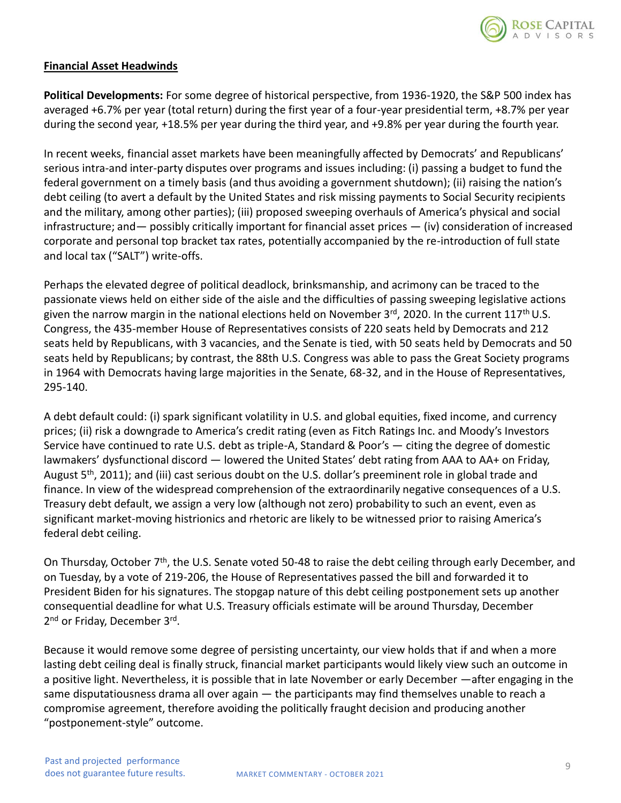

#### **Financial Asset Headwinds**

**Political Developments:** For some degree of historical perspective, from 1936-1920, the S&P 500 index has averaged +6.7% per year (total return) during the first year of a four-year presidential term, +8.7% per year during the second year, +18.5% per year during the third year, and +9.8% per year during the fourth year.

In recent weeks, financial asset markets have been meaningfully affected by Democrats' and Republicans' serious intra-and inter-party disputes over programs and issues including: (i) passing a budget to fund the federal government on a timely basis (and thus avoiding a government shutdown); (ii) raising the nation's debt ceiling (to avert a default by the United States and risk missing payments to Social Security recipients and the military, among other parties); (iii) proposed sweeping overhauls of America's physical and social infrastructure; and— possibly critically important for financial asset prices — (iv) consideration of increased corporate and personal top bracket tax rates, potentially accompanied by the re-introduction of full state and local tax ("SALT") write-offs.

Perhaps the elevated degree of political deadlock, brinksmanship, and acrimony can be traced to the passionate views held on either side of the aisle and the difficulties of passing sweeping legislative actions given the narrow margin in the national elections held on November 3rd, 2020. In the current 117<sup>th</sup> U.S. Congress, the 435-member House of Representatives consists of 220 seats held by Democrats and 212 seats held by Republicans, with 3 vacancies, and the Senate is tied, with 50 seats held by Democrats and 50 seats held by Republicans; by contrast, the 88th U.S. Congress was able to pass the Great Society programs in 1964 with Democrats having large majorities in the Senate, 68-32, and in the House of Representatives, 295-140.

A debt default could: (i) spark significant volatility in U.S. and global equities, fixed income, and currency prices; (ii) risk a downgrade to America's credit rating (even as Fitch Ratings Inc. and Moody's Investors Service have continued to rate U.S. debt as triple-A, Standard & Poor's — citing the degree of domestic lawmakers' dysfunctional discord — lowered the United States' debt rating from AAA to AA+ on Friday, August  $5<sup>th</sup>$ , 2011); and (iii) cast serious doubt on the U.S. dollar's preeminent role in global trade and finance. In view of the widespread comprehension of the extraordinarily negative consequences of a U.S. Treasury debt default, we assign a very low (although not zero) probability to such an event, even as significant market-moving histrionics and rhetoric are likely to be witnessed prior to raising America's federal debt ceiling.

On Thursday, October 7<sup>th</sup>, the U.S. Senate voted 50-48 to raise the debt ceiling through early December, and on Tuesday, by a vote of 219-206, the House of Representatives passed the bill and forwarded it to President Biden for his signatures. The stopgap nature of this debt ceiling postponement sets up another consequential deadline for what U.S. Treasury officials estimate will be around Thursday, December 2<sup>nd</sup> or Friday, December 3<sup>rd</sup>.

Because it would remove some degree of persisting uncertainty, our view holds that if and when a more lasting debt ceiling deal is finally struck, financial market participants would likely view such an outcome in a positive light. Nevertheless, it is possible that in late November or early December —after engaging in the same disputatiousness drama all over again — the participants may find themselves unable to reach a compromise agreement, therefore avoiding the politically fraught decision and producing another "postponement-style" outcome.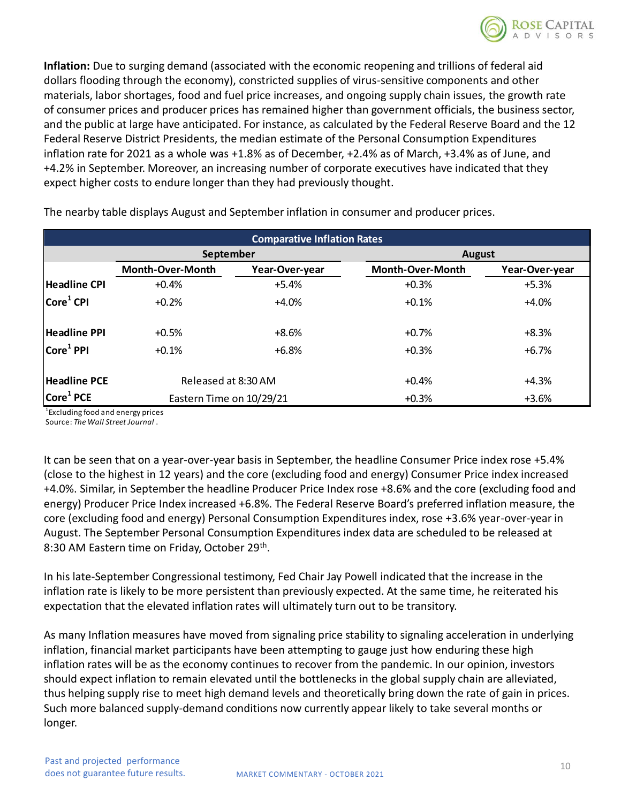

**Inflation:** Due to surging demand (associated with the economic reopening and trillions of federal aid dollars flooding through the economy), constricted supplies of virus-sensitive components and other materials, labor shortages, food and fuel price increases, and ongoing supply chain issues, the growth rate of consumer prices and producer prices has remained higher than government officials, the business sector, and the public at large have anticipated. For instance, as calculated by the Federal Reserve Board and the 12 Federal Reserve District Presidents, the median estimate of the Personal Consumption Expenditures inflation rate for 2021 as a whole was +1.8% as of December, +2.4% as of March, +3.4% as of June, and +4.2% in September. Moreover, an increasing number of corporate executives have indicated that they expect higher costs to endure longer than they had previously thought.

| <b>Comparative Inflation Rates</b> |                          |                |                         |                |  |  |  |  |  |
|------------------------------------|--------------------------|----------------|-------------------------|----------------|--|--|--|--|--|
|                                    | September                |                | <b>August</b>           |                |  |  |  |  |  |
|                                    | <b>Month-Over-Month</b>  | Year-Over-year | <b>Month-Over-Month</b> | Year-Over-year |  |  |  |  |  |
| <b>Headline CPI</b>                | $+0.4%$                  | $+5.4%$        | $+0.3%$                 | $+5.3%$        |  |  |  |  |  |
| $\textsf{Core}^1$ CPI              | $+0.2%$                  | $+4.0%$        | $+0.1%$                 | $+4.0%$        |  |  |  |  |  |
| <b>Headline PPI</b>                | $+0.5%$                  | $+8.6%$        | $+0.7%$                 | $+8.3%$        |  |  |  |  |  |
| $Core1$ PPI                        | $+0.1%$                  | $+6.8%$        | $+0.3%$                 | $+6.7%$        |  |  |  |  |  |
| <b>Headline PCE</b>                | Released at 8:30 AM      |                | $+0.4%$                 | $+4.3%$        |  |  |  |  |  |
| Core <sup>1</sup> PCE              | Eastern Time on 10/29/21 |                | $+0.3%$                 | $+3.6%$        |  |  |  |  |  |

The nearby table displays August and September inflation in consumer and producer prices.

1 Excluding food and energy prices

Source: *The Wall Street Journal* .

It can be seen that on a year-over-year basis in September, the headline Consumer Price index rose +5.4% (close to the highest in 12 years) and the core (excluding food and energy) Consumer Price index increased +4.0%. Similar, in September the headline Producer Price Index rose +8.6% and the core (excluding food and energy) Producer Price Index increased +6.8%. The Federal Reserve Board's preferred inflation measure, the core (excluding food and energy) Personal Consumption Expenditures index, rose +3.6% year-over-year in August. The September Personal Consumption Expenditures index data are scheduled to be released at 8:30 AM Eastern time on Friday, October 29<sup>th</sup>.

In his late-September Congressional testimony, Fed Chair Jay Powell indicated that the increase in the inflation rate is likely to be more persistent than previously expected. At the same time, he reiterated his expectation that the elevated inflation rates will ultimately turn out to be transitory.

As many Inflation measures have moved from signaling price stability to signaling acceleration in underlying inflation, financial market participants have been attempting to gauge just how enduring these high inflation rates will be as the economy continues to recover from the pandemic. In our opinion, investors should expect inflation to remain elevated until the bottlenecks in the global supply chain are alleviated, thus helping supply rise to meet high demand levels and theoretically bring down the rate of gain in prices. Such more balanced supply-demand conditions now currently appear likely to take several months or longer.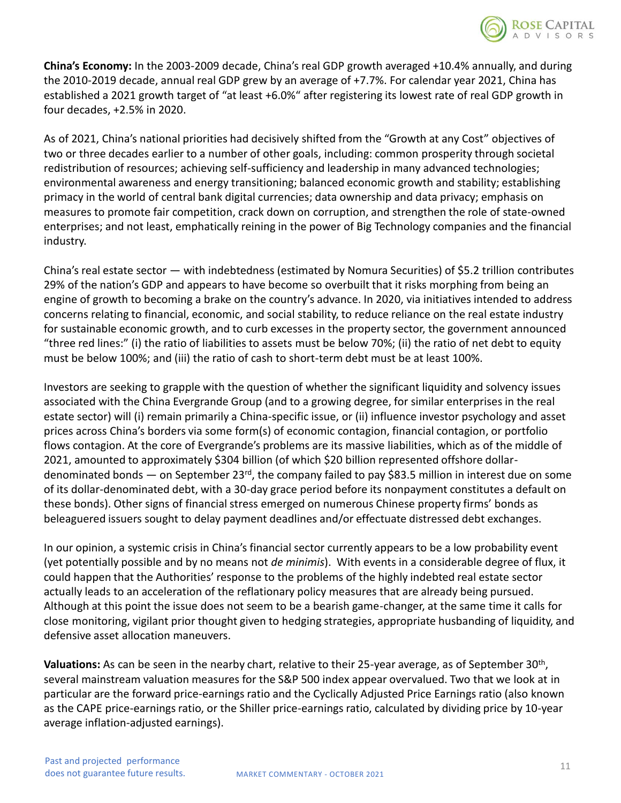

**China's Economy:** In the 2003-2009 decade, China's real GDP growth averaged +10.4% annually, and during the 2010-2019 decade, annual real GDP grew by an average of +7.7%. For calendar year 2021, China has established a 2021 growth target of "at least +6.0%" after registering its lowest rate of real GDP growth in four decades, +2.5% in 2020.

As of 2021, China's national priorities had decisively shifted from the "Growth at any Cost" objectives of two or three decades earlier to a number of other goals, including: common prosperity through societal redistribution of resources; achieving self-sufficiency and leadership in many advanced technologies; environmental awareness and energy transitioning; balanced economic growth and stability; establishing primacy in the world of central bank digital currencies; data ownership and data privacy; emphasis on measures to promote fair competition, crack down on corruption, and strengthen the role of state-owned enterprises; and not least, emphatically reining in the power of Big Technology companies and the financial industry.

China's real estate sector — with indebtedness (estimated by Nomura Securities) of \$5.2 trillion contributes 29% of the nation's GDP and appears to have become so overbuilt that it risks morphing from being an engine of growth to becoming a brake on the country's advance. In 2020, via initiatives intended to address concerns relating to financial, economic, and social stability, to reduce reliance on the real estate industry for sustainable economic growth, and to curb excesses in the property sector, the government announced "three red lines:" (i) the ratio of liabilities to assets must be below 70%; (ii) the ratio of net debt to equity must be below 100%; and (iii) the ratio of cash to short-term debt must be at least 100%.

Investors are seeking to grapple with the question of whether the significant liquidity and solvency issues associated with the China Evergrande Group (and to a growing degree, for similar enterprises in the real estate sector) will (i) remain primarily a China-specific issue, or (ii) influence investor psychology and asset prices across China's borders via some form(s) of economic contagion, financial contagion, or portfolio flows contagion. At the core of Evergrande's problems are its massive liabilities, which as of the middle of 2021, amounted to approximately \$304 billion (of which \$20 billion represented offshore dollardenominated bonds  $-$  on September 23<sup>rd</sup>, the company failed to pay \$83.5 million in interest due on some of its dollar-denominated debt, with a 30-day grace period before its nonpayment constitutes a default on these bonds). Other signs of financial stress emerged on numerous Chinese property firms' bonds as beleaguered issuers sought to delay payment deadlines and/or effectuate distressed debt exchanges.

In our opinion, a systemic crisis in China's financial sector currently appears to be a low probability event (yet potentially possible and by no means not *de minimis*). With events in a considerable degree of flux, it could happen that the Authorities' response to the problems of the highly indebted real estate sector actually leads to an acceleration of the reflationary policy measures that are already being pursued. Although at this point the issue does not seem to be a bearish game-changer, at the same time it calls for close monitoring, vigilant prior thought given to hedging strategies, appropriate husbanding of liquidity, and defensive asset allocation maneuvers.

Valuations: As can be seen in the nearby chart, relative to their 25-year average, as of September 30<sup>th</sup>, several mainstream valuation measures for the S&P 500 index appear overvalued. Two that we look at in particular are the forward price-earnings ratio and the Cyclically Adjusted Price Earnings ratio (also known as the CAPE price-earnings ratio, or the Shiller price-earnings ratio, calculated by dividing price by 10-year average inflation-adjusted earnings).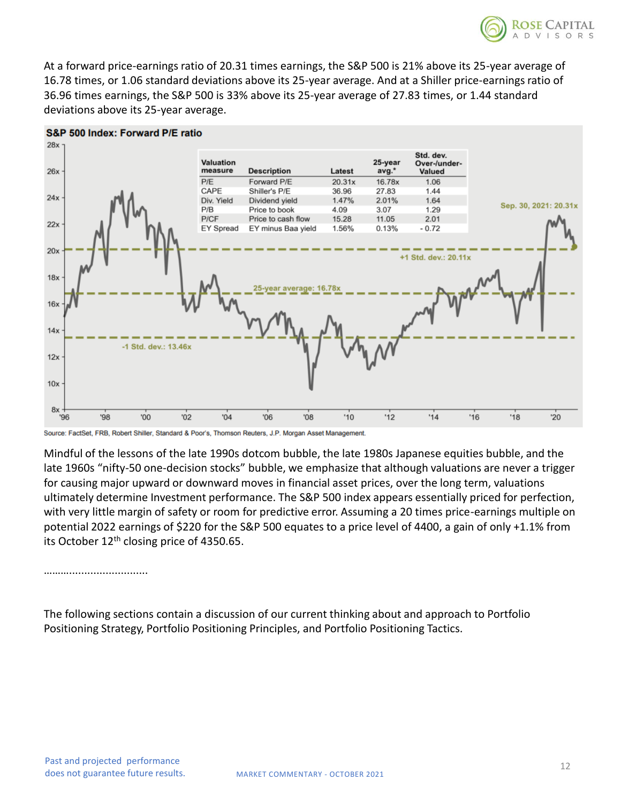

At a forward price-earnings ratio of 20.31 times earnings, the S&P 500 is 21% above its 25-year average of 16.78 times, or 1.06 standard deviations above its 25-year average. And at a Shiller price-earnings ratio of 36.96 times earnings, the S&P 500 is 33% above its 25-year average of 27.83 times, or 1.44 standard deviations above its 25-year average.



Source: FactSet, FRB, Robert Shiller, Standard & Poor's, Thomson Reuters, J.P. Morgan Asset Management.

Mindful of the lessons of the late 1990s dotcom bubble, the late 1980s Japanese equities bubble, and the late 1960s "nifty-50 one-decision stocks" bubble, we emphasize that although valuations are never a trigger for causing major upward or downward moves in financial asset prices, over the long term, valuations ultimately determine Investment performance. The S&P 500 index appears essentially priced for perfection, with very little margin of safety or room for predictive error. Assuming a 20 times price-earnings multiple on potential 2022 earnings of \$220 for the S&P 500 equates to a price level of 4400, a gain of only +1.1% from its October  $12<sup>th</sup>$  closing price of 4350.65.

…………………………………

The following sections contain a discussion of our current thinking about and approach to Portfolio Positioning Strategy, Portfolio Positioning Principles, and Portfolio Positioning Tactics.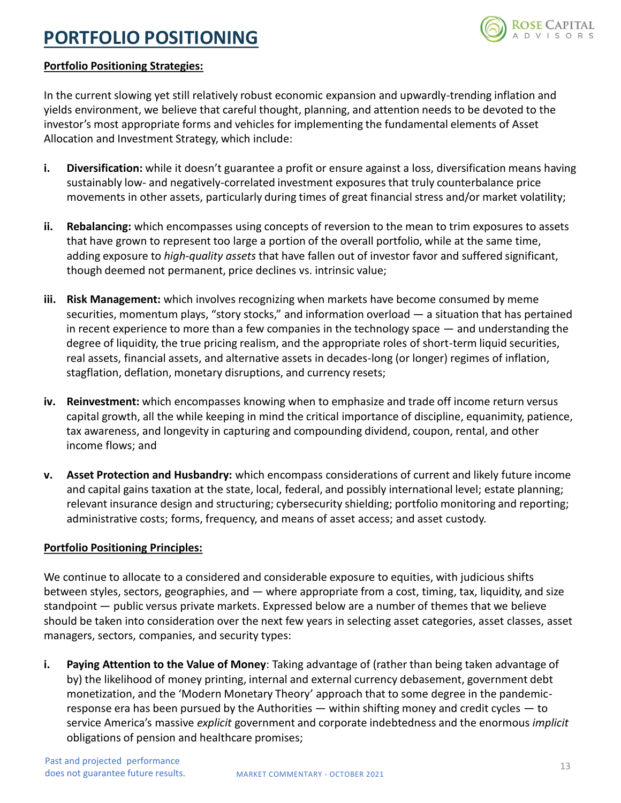

### **Portfolio Positioning Strategies:**

In the current slowing yet still relatively robust economic expansion and upwardly-trending inflation and yields environment, we believe that careful thought, planning, and attention needs to be devoted to the investor's most appropriate forms and vehicles for implementing the fundamental elements of Asset Allocation and Investment Strategy, which include:

- **i. Diversification:** while it doesn't guarantee a profit or ensure against a loss, diversification means having sustainably low- and negatively-correlated investment exposures that truly counterbalance price movements in other assets, particularly during times of great financial stress and/or market volatility;
- **ii. Rebalancing:** which encompasses using concepts of reversion to the mean to trim exposures to assets that have grown to represent too large a portion of the overall portfolio, while at the same time, adding exposure to *high-quality assets* that have fallen out of investor favor and suffered significant, though deemed not permanent, price declines vs. intrinsic value;
- **iii. Risk Management:** which involves recognizing when markets have become consumed by meme securities, momentum plays, "story stocks," and information overload — a situation that has pertained in recent experience to more than a few companies in the technology space — and understanding the degree of liquidity, the true pricing realism, and the appropriate roles of short-term liquid securities, real assets, financial assets, and alternative assets in decades-long (or longer) regimes of inflation, stagflation, deflation, monetary disruptions, and currency resets;
- **iv. Reinvestment:** which encompasses knowing when to emphasize and trade off income return versus capital growth, all the while keeping in mind the critical importance of discipline, equanimity, patience, tax awareness, and longevity in capturing and compounding dividend, coupon, rental, and other income flows; and
- **v. Asset Protection and Husbandry:** which encompass considerations of current and likely future income and capital gains taxation at the state, local, federal, and possibly international level; estate planning; relevant insurance design and structuring; cybersecurity shielding; portfolio monitoring and reporting; administrative costs; forms, frequency, and means of asset access; and asset custody.

#### **Portfolio Positioning Principles:**

We continue to allocate to a considered and considerable exposure to equities, with judicious shifts between styles, sectors, geographies, and — where appropriate from a cost, timing, tax, liquidity, and size standpoint — public versus private markets. Expressed below are a number of themes that we believe should be taken into consideration over the next few years in selecting asset categories, asset classes, asset managers, sectors, companies, and security types:

**i. Paying Attention to the Value of Money**: Taking advantage of (rather than being taken advantage of by) the likelihood of money printing, internal and external currency debasement, government debt monetization, and the 'Modern Monetary Theory' approach that to some degree in the pandemicresponse era has been pursued by the Authorities — within shifting money and credit cycles — to service America's massive *explicit* government and corporate indebtedness and the enormous *implicit* obligations of pension and healthcare promises;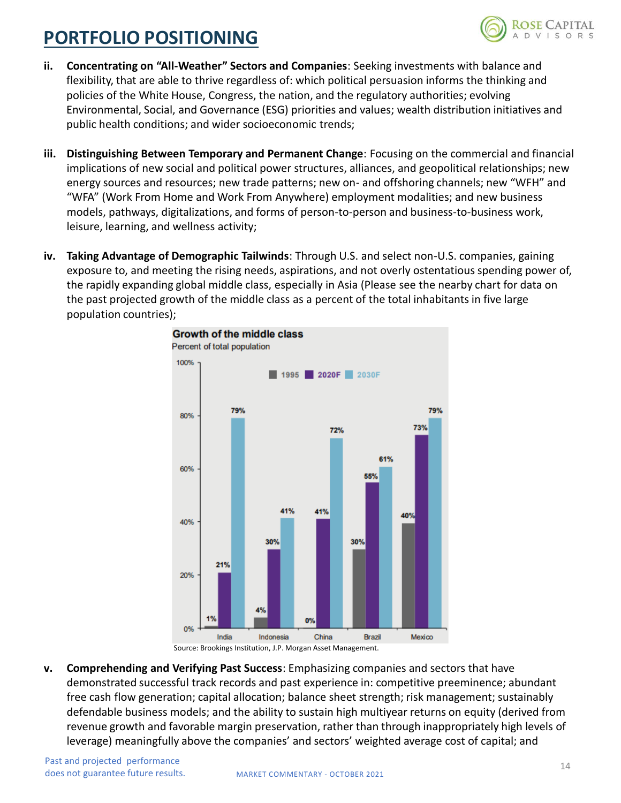

- **ii. Concentrating on "All-Weather" Sectors and Companies**: Seeking investments with balance and flexibility, that are able to thrive regardless of: which political persuasion informs the thinking and policies of the White House, Congress, the nation, and the regulatory authorities; evolving Environmental, Social, and Governance (ESG) priorities and values; wealth distribution initiatives and public health conditions; and wider socioeconomic trends;
- **iii. Distinguishing Between Temporary and Permanent Change**: Focusing on the commercial and financial implications of new social and political power structures, alliances, and geopolitical relationships; new energy sources and resources; new trade patterns; new on- and offshoring channels; new "WFH" and "WFA" (Work From Home and Work From Anywhere) employment modalities; and new business models, pathways, digitalizations, and forms of person-to-person and business-to-business work, leisure, learning, and wellness activity;
- **iv. Taking Advantage of Demographic Tailwinds**: Through U.S. and select non-U.S. companies, gaining exposure to, and meeting the rising needs, aspirations, and not overly ostentatious spending power of, the rapidly expanding global middle class, especially in Asia (Please see the nearby chart for data on the past projected growth of the middle class as a percent of the total inhabitants in five large population countries);



**v. Comprehending and Verifying Past Success**: Emphasizing companies and sectors that have demonstrated successful track records and past experience in: competitive preeminence; abundant free cash flow generation; capital allocation; balance sheet strength; risk management; sustainably defendable business models; and the ability to sustain high multiyear returns on equity (derived from revenue growth and favorable margin preservation, rather than through inappropriately high levels of leverage) meaningfully above the companies' and sectors' weighted average cost of capital; and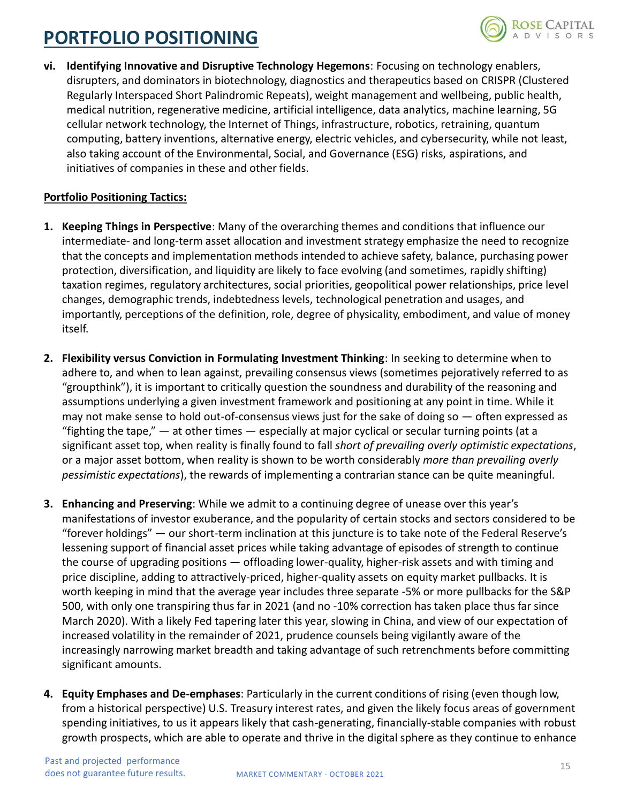

**vi. Identifying Innovative and Disruptive Technology Hegemons**: Focusing on technology enablers, disrupters, and dominators in biotechnology, diagnostics and therapeutics based on CRISPR (Clustered Regularly Interspaced Short Palindromic Repeats), weight management and wellbeing, public health, medical nutrition, regenerative medicine, artificial intelligence, data analytics, machine learning, 5G cellular network technology, the Internet of Things, infrastructure, robotics, retraining, quantum computing, battery inventions, alternative energy, electric vehicles, and cybersecurity, while not least, also taking account of the Environmental, Social, and Governance (ESG) risks, aspirations, and initiatives of companies in these and other fields.

### **Portfolio Positioning Tactics:**

- **1. Keeping Things in Perspective**: Many of the overarching themes and conditions that influence our intermediate- and long-term asset allocation and investment strategy emphasize the need to recognize that the concepts and implementation methods intended to achieve safety, balance, purchasing power protection, diversification, and liquidity are likely to face evolving (and sometimes, rapidly shifting) taxation regimes, regulatory architectures, social priorities, geopolitical power relationships, price level changes, demographic trends, indebtedness levels, technological penetration and usages, and importantly, perceptions of the definition, role, degree of physicality, embodiment, and value of money itself.
- **2. Flexibility versus Conviction in Formulating Investment Thinking**: In seeking to determine when to adhere to, and when to lean against, prevailing consensus views (sometimes pejoratively referred to as "groupthink"), it is important to critically question the soundness and durability of the reasoning and assumptions underlying a given investment framework and positioning at any point in time. While it may not make sense to hold out-of-consensus views just for the sake of doing so — often expressed as "fighting the tape,"  $-$  at other times  $-$  especially at major cyclical or secular turning points (at a significant asset top, when reality is finally found to fall *short of prevailing overly optimistic expectations*, or a major asset bottom, when reality is shown to be worth considerably *more than prevailing overly pessimistic expectations*), the rewards of implementing a contrarian stance can be quite meaningful.
- **3. Enhancing and Preserving**: While we admit to a continuing degree of unease over this year's manifestations of investor exuberance, and the popularity of certain stocks and sectors considered to be "forever holdings" — our short-term inclination at this juncture is to take note of the Federal Reserve's lessening support of financial asset prices while taking advantage of episodes of strength to continue the course of upgrading positions — offloading lower-quality, higher-risk assets and with timing and price discipline, adding to attractively-priced, higher-quality assets on equity market pullbacks. It is worth keeping in mind that the average year includes three separate -5% or more pullbacks for the S&P 500, with only one transpiring thus far in 2021 (and no -10% correction has taken place thus far since March 2020). With a likely Fed tapering later this year, slowing in China, and view of our expectation of increased volatility in the remainder of 2021, prudence counsels being vigilantly aware of the increasingly narrowing market breadth and taking advantage of such retrenchments before committing significant amounts.
- **4. Equity Emphases and De-emphases**: Particularly in the current conditions of rising (even though low, from a historical perspective) U.S. Treasury interest rates, and given the likely focus areas of government spending initiatives, to us it appears likely that cash-generating, financially-stable companies with robust growth prospects, which are able to operate and thrive in the digital sphere as they continue to enhance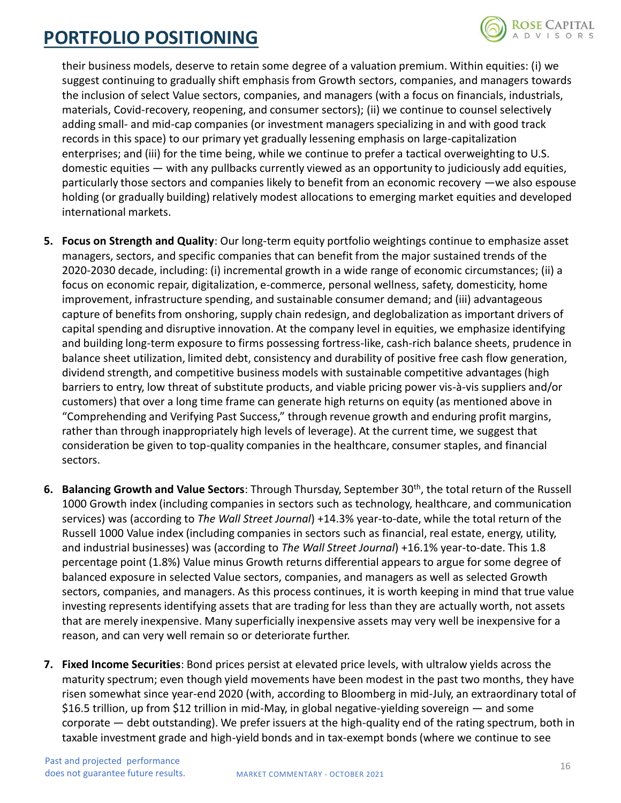

their business models, deserve to retain some degree of a valuation premium. Within equities: (i) we suggest continuing to gradually shift emphasis from Growth sectors, companies, and managers towards the inclusion of select Value sectors, companies, and managers (with a focus on financials, industrials, materials, Covid-recovery, reopening, and consumer sectors); (ii) we continue to counsel selectively adding small- and mid-cap companies (or investment managers specializing in and with good track records in this space) to our primary yet gradually lessening emphasis on large-capitalization enterprises; and (iii) for the time being, while we continue to prefer a tactical overweighting to U.S. domestic equities — with any pullbacks currently viewed as an opportunity to judiciously add equities, particularly those sectors and companies likely to benefit from an economic recovery —we also espouse holding (or gradually building) relatively modest allocations to emerging market equities and developed international markets.

- **5. Focus on Strength and Quality**: Our long-term equity portfolio weightings continue to emphasize asset managers, sectors, and specific companies that can benefit from the major sustained trends of the 2020-2030 decade, including: (i) incremental growth in a wide range of economic circumstances; (ii) a focus on economic repair, digitalization, e-commerce, personal wellness, safety, domesticity, home improvement, infrastructure spending, and sustainable consumer demand; and (iii) advantageous capture of benefits from onshoring, supply chain redesign, and deglobalization as important drivers of capital spending and disruptive innovation. At the company level in equities, we emphasize identifying and building long-term exposure to firms possessing fortress-like, cash-rich balance sheets, prudence in balance sheet utilization, limited debt, consistency and durability of positive free cash flow generation, dividend strength, and competitive business models with sustainable competitive advantages (high barriers to entry, low threat of substitute products, and viable pricing power vis-à-vis suppliers and/or customers) that over a long time frame can generate high returns on equity (as mentioned above in "Comprehending and Verifying Past Success," through revenue growth and enduring profit margins, rather than through inappropriately high levels of leverage). At the current time, we suggest that consideration be given to top-quality companies in the healthcare, consumer staples, and financial sectors.
- **6. Balancing Growth and Value Sectors**: Through Thursday, September 30th, the total return of the Russell 1000 Growth index (including companies in sectors such as technology, healthcare, and communication services) was (according to *The Wall Street Journal*) +14.3% year-to-date, while the total return of the Russell 1000 Value index (including companies in sectors such as financial, real estate, energy, utility, and industrial businesses) was (according to *The Wall Street Journal*) +16.1% year-to-date. This 1.8 percentage point (1.8%) Value minus Growth returns differential appears to argue for some degree of balanced exposure in selected Value sectors, companies, and managers as well as selected Growth sectors, companies, and managers. As this process continues, it is worth keeping in mind that true value investing represents identifying assets that are trading for less than they are actually worth, not assets that are merely inexpensive. Many superficially inexpensive assets may very well be inexpensive for a reason, and can very well remain so or deteriorate further.
- **7. Fixed Income Securities**: Bond prices persist at elevated price levels, with ultralow yields across the maturity spectrum; even though yield movements have been modest in the past two months, they have risen somewhat since year-end 2020 (with, according to Bloomberg in mid-July, an extraordinary total of \$16.5 trillion, up from \$12 trillion in mid-May, in global negative-yielding sovereign — and some corporate — debt outstanding). We prefer issuers at the high-quality end of the rating spectrum, both in taxable investment grade and high-yield bonds and in tax-exempt bonds (where we continue to see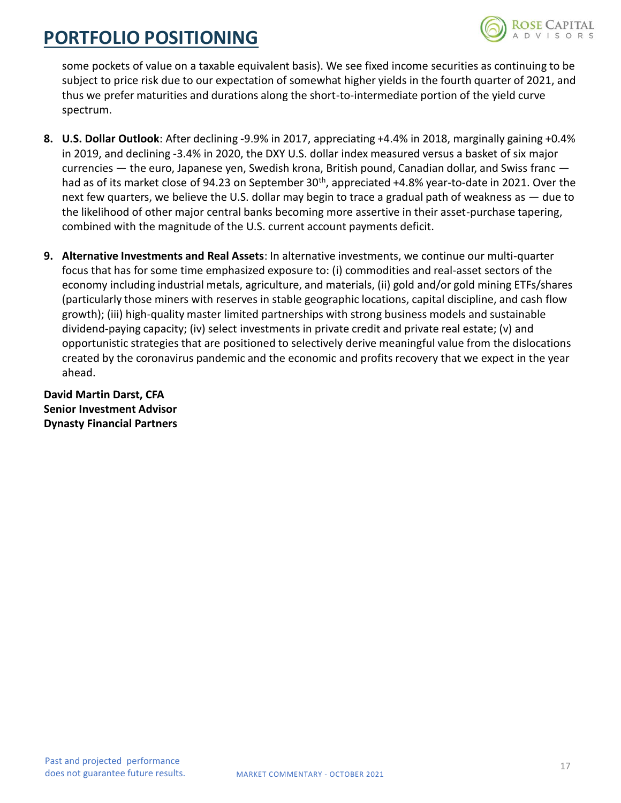

some pockets of value on a taxable equivalent basis). We see fixed income securities as continuing to be subject to price risk due to our expectation of somewhat higher yields in the fourth quarter of 2021, and thus we prefer maturities and durations along the short-to-intermediate portion of the yield curve spectrum.

- **8. U.S. Dollar Outlook**: After declining -9.9% in 2017, appreciating +4.4% in 2018, marginally gaining +0.4% in 2019, and declining -3.4% in 2020, the DXY U.S. dollar index measured versus a basket of six major currencies — the euro, Japanese yen, Swedish krona, British pound, Canadian dollar, and Swiss franc had as of its market close of 94.23 on September 30<sup>th</sup>, appreciated +4.8% year-to-date in 2021. Over the next few quarters, we believe the U.S. dollar may begin to trace a gradual path of weakness as — due to the likelihood of other major central banks becoming more assertive in their asset-purchase tapering, combined with the magnitude of the U.S. current account payments deficit.
- **9. Alternative Investments and Real Assets**: In alternative investments, we continue our multi-quarter focus that has for some time emphasized exposure to: (i) commodities and real-asset sectors of the economy including industrial metals, agriculture, and materials, (ii) gold and/or gold mining ETFs/shares (particularly those miners with reserves in stable geographic locations, capital discipline, and cash flow growth); (iii) high-quality master limited partnerships with strong business models and sustainable dividend-paying capacity; (iv) select investments in private credit and private real estate; (v) and opportunistic strategies that are positioned to selectively derive meaningful value from the dislocations created by the coronavirus pandemic and the economic and profits recovery that we expect in the year ahead.

**David Martin Darst, CFA Senior Investment Advisor Dynasty Financial Partners**